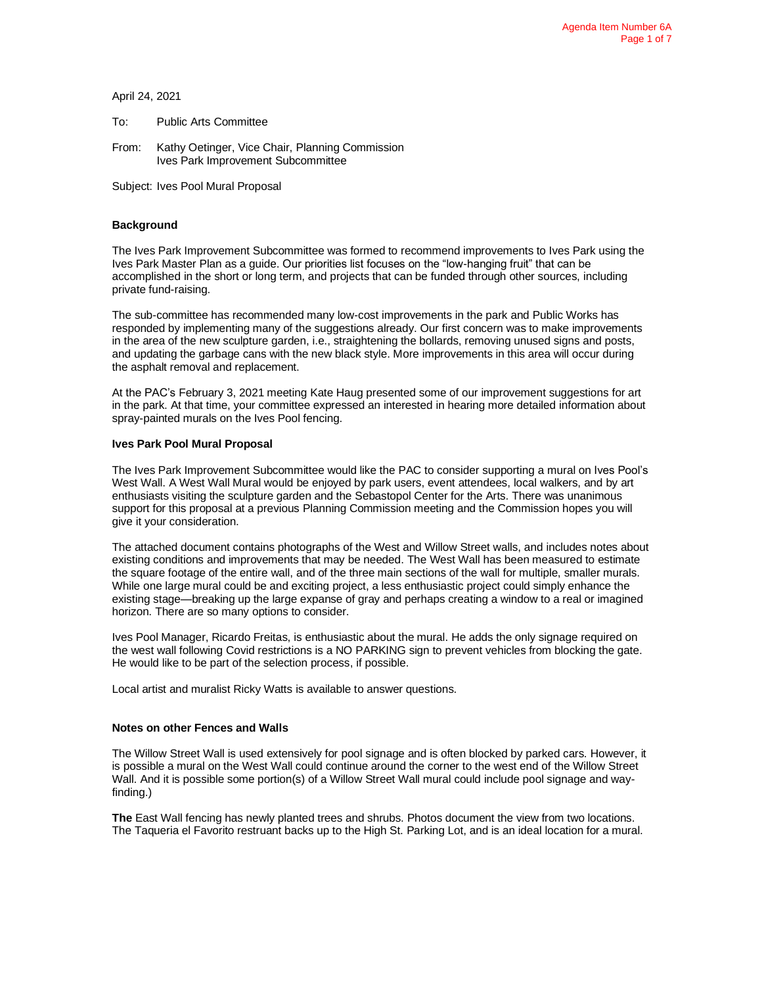April 24, 2021

To: Public Arts Committee

From: Kathy Oetinger, Vice Chair, Planning Commission Ives Park Improvement Subcommittee

Subject: Ives Pool Mural Proposal

### **Background**

The Ives Park Improvement Subcommittee was formed to recommend improvements to Ives Park using the Ives Park Master Plan as a guide. Our priorities list focuses on the "low-hanging fruit" that can be accomplished in the short or long term, and projects that can be funded through other sources, including private fund-raising.

The sub-committee has recommended many low-cost improvements in the park and Public Works has responded by implementing many of the suggestions already. Our first concern was to make improvements in the area of the new sculpture garden, i.e., straightening the bollards, removing unused signs and posts, and updating the garbage cans with the new black style. More improvements in this area will occur during the asphalt removal and replacement.

At the PAC's February 3, 2021 meeting Kate Haug presented some of our improvement suggestions for art in the park. At that time, your committee expressed an interested in hearing more detailed information about spray-painted murals on the Ives Pool fencing.

### **Ives Park Pool Mural Proposal**

The Ives Park Improvement Subcommittee would like the PAC to consider supporting a mural on Ives Pool's West Wall. A West Wall Mural would be enjoyed by park users, event attendees, local walkers, and by art enthusiasts visiting the sculpture garden and the Sebastopol Center for the Arts. There was unanimous support for this proposal at a previous Planning Commission meeting and the Commission hopes you will give it your consideration.

The attached document contains photographs of the West and Willow Street walls, and includes notes about existing conditions and improvements that may be needed. The West Wall has been measured to estimate the square footage of the entire wall, and of the three main sections of the wall for multiple, smaller murals. While one large mural could be and exciting project, a less enthusiastic project could simply enhance the existing stage—breaking up the large expanse of gray and perhaps creating a window to a real or imagined horizon. There are so many options to consider.

Ives Pool Manager, Ricardo Freitas, is enthusiastic about the mural. He adds the only signage required on the west wall following Covid restrictions is a NO PARKING sign to prevent vehicles from blocking the gate. He would like to be part of the selection process, if possible.

Local artist and muralist Ricky Watts is available to answer questions.

#### **Notes on other Fences and Walls**

The Willow Street Wall is used extensively for pool signage and is often blocked by parked cars. However, it is possible a mural on the West Wall could continue around the corner to the west end of the Willow Street Wall. And it is possible some portion(s) of a Willow Street Wall mural could include pool signage and wayfinding.)

**The** East Wall fencing has newly planted trees and shrubs. Photos document the view from two locations. The Taqueria el Favorito restruant backs up to the High St. Parking Lot, and is an ideal location for a mural.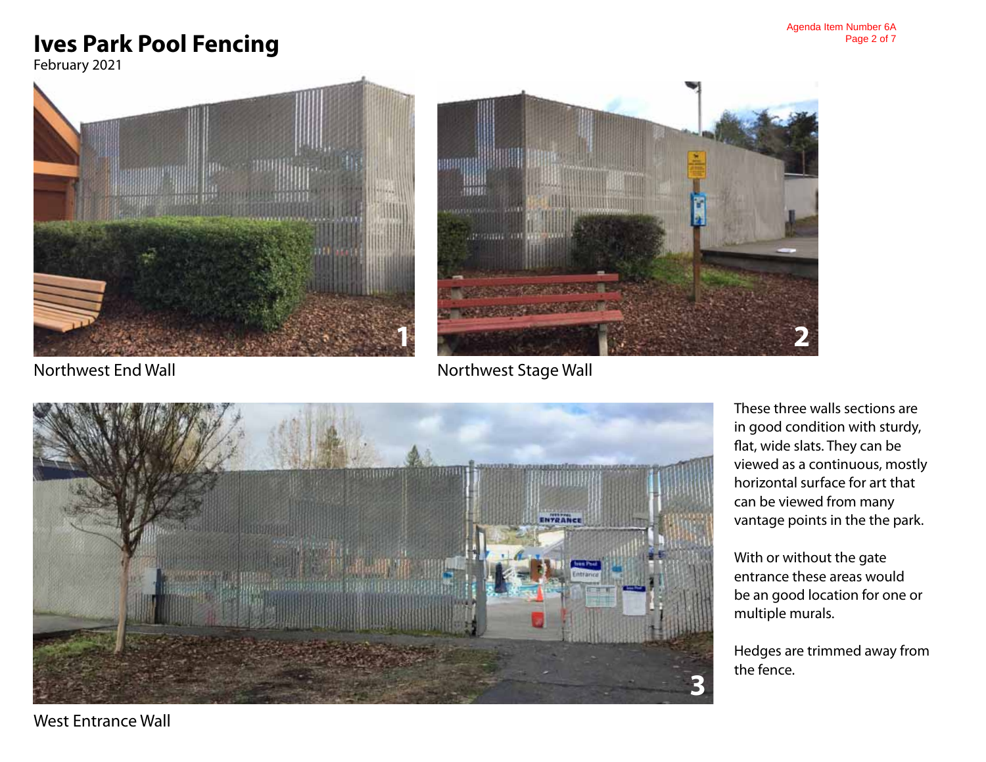# **Ives Park Pool Fencing**

February 2021





Northwest End Wall

Northwest Stage Wall



These three walls sections are in good condition with sturdy, flat, wide slats. They can be viewed as a continuous, mostly horizontal surface for art that can be viewed from many vantage points in the the park.

With or without the gate entrance these areas would be an good location for one or multiple murals.

Hedges are trimmed away from the fence.

West Entrance Wall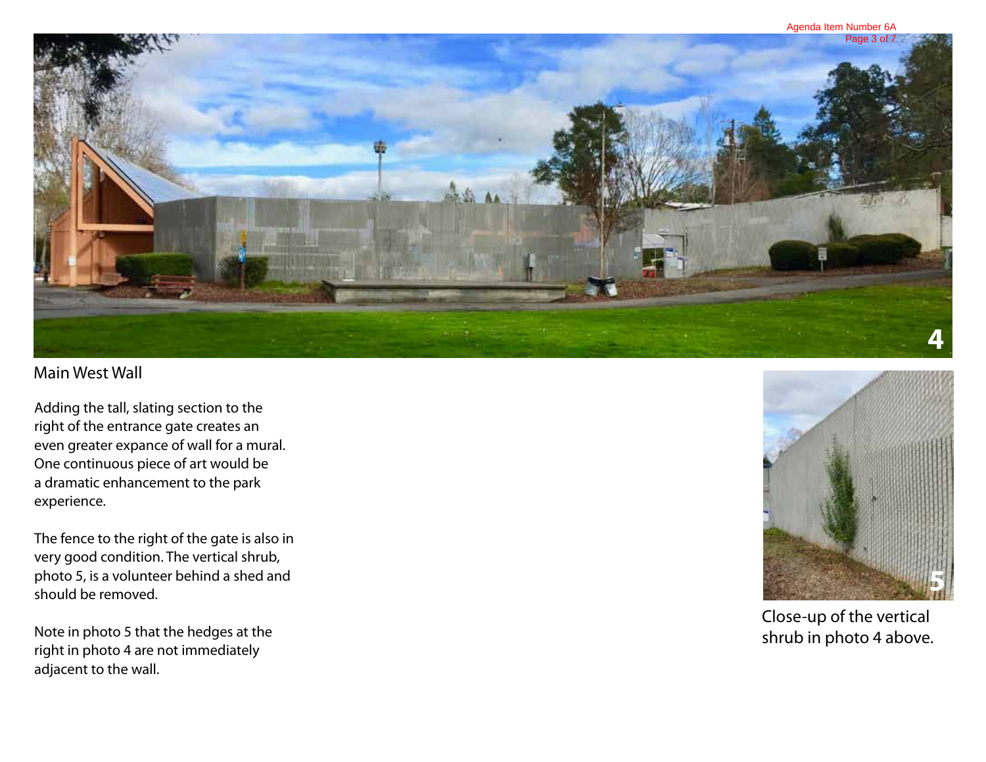

## Main West Wall

Adding the tall, slating section to the right of the entrance gate creates an even greater expance of wall for a mural. One continuous piece of art would be a dramatic enhancement to the park experience.

The fence to the right of the gate is also in very good condition. The vertical shrub, photo 5, is a volunteer behind a shed and should be removed.

Note in photo 5 that the hedges at the right in photo 4 are not immediately adjacent to the wall.



Close-up of the vertical shrub in photo 4 above.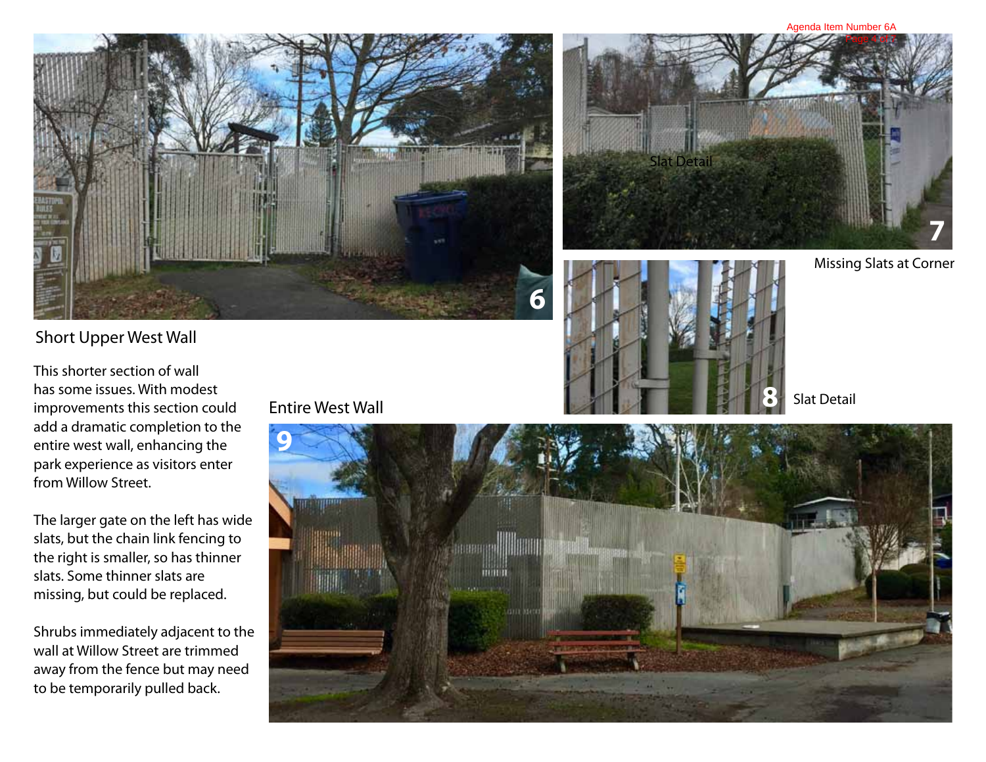#### Agenda Item Number 6A







Missing Slats at Corner

Slat Detail

## Short Upper West Wall

This shorter section of wall has some issues. With modest improvements this section could add a dramatic completion to the entire west wall, enhancing the park experience as visitors enter from Willow Street.

The larger gate on the left has wide slats, but the chain link fencing to the right is smaller, so has thinner slats. Some thinner slats are missing, but could be replaced.

Shrubs immediately adjacent to the wall at Willow Street are trimmed away from the fence but may need to be temporarily pulled back.

## Entire West Wall

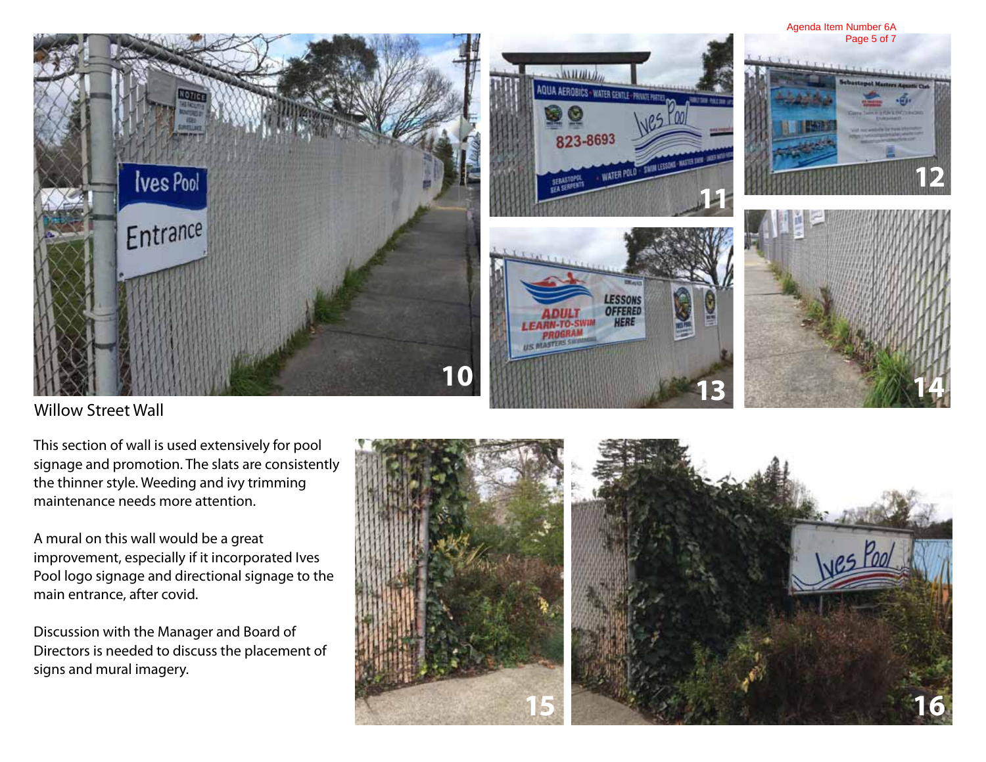

Willow Street Wall

This section of wall is used extensively for pool signage and promotion. The slats are consistently the thinner style. Weeding and ivy trimming maintenance needs more attention.

A mural on this wall would be a great improvement, especially if it incorporated Ives Pool logo signage and directional signage to the main entrance, after covid.

Discussion with the Manager and Board of Directors is needed to discuss the placement of signs and mural imagery.

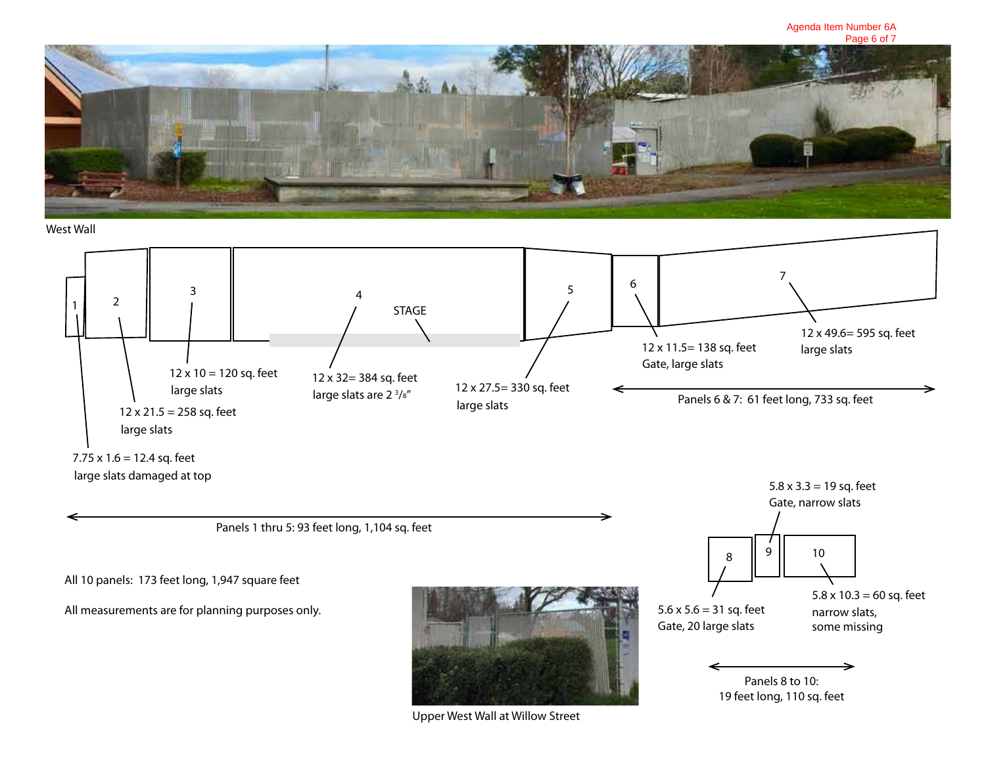

## West Wall



All 10 panels: 173 feet long, 1,947 square feet

All measurements are for planning purposes only.



Upper West Wall at Willow Street





 $5.6 \times 5.6 = 31$  sq. feet Gate, 20 large slats